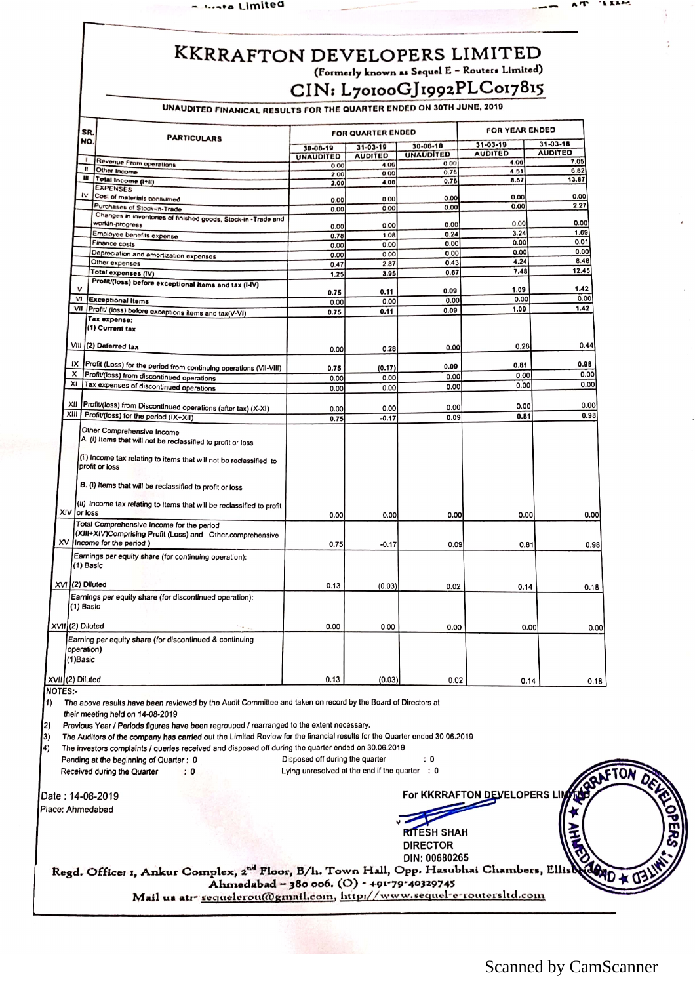**Links** Limited

## KKRRAFTON DEVELOPERS LIMITED (Formerly known as Sequel E - Routers Limited) CIN: L70100GJ1992PLC017815

UNAUDITED FINANICAL RESULTS FOR THE QUARTER ENDED ON 30TH JUNE, 2010

| SR.                    |                                                                                                                                                                                    |                                  | FOR QUARTER ENDED |                  | <b>FOR YEAR ENDED</b> |                |
|------------------------|------------------------------------------------------------------------------------------------------------------------------------------------------------------------------------|----------------------------------|-------------------|------------------|-----------------------|----------------|
| NO.                    | <b>PARTICULARS</b>                                                                                                                                                                 | $31 - 03 - 19$<br>$30 - 00 - 19$ |                   | $30 - 06 - 10$   | $31 - 03 - 19$        | 31-03-18       |
|                        |                                                                                                                                                                                    | <b>UNAUDITED</b>                 | <b>AUDITED</b>    | <b>UNAUDITED</b> | <b>AUDITED</b>        | <b>AUDITED</b> |
|                        | Revenue From operations                                                                                                                                                            | 0.00                             | 4.00              | 0.00             | 4.06                  | 7.05           |
| $\mathbf{u}$           | Other Income                                                                                                                                                                       | 2.00                             | 0.00              | 0.75             | 4.51                  | 0.82           |
| III                    | Total Income (I+II)                                                                                                                                                                | 2.00                             | 4.00              | 0.76             | 8.57                  | 13.87          |
| ı٧                     | <b>EXPENSES</b>                                                                                                                                                                    |                                  |                   |                  |                       |                |
|                        | Cost of materials consumed                                                                                                                                                         | 0.00                             | 0.00              | 0.00             | 0.00                  | 0.00           |
|                        | Purchases of Stock-In-Trade                                                                                                                                                        | 0.00                             | 0.00              | 0.00             | 0.00                  | 2.27           |
|                        | Changes in inventories of finished goods, Stock-in-Trade and                                                                                                                       |                                  |                   |                  |                       |                |
|                        | workin-progress                                                                                                                                                                    | 0.00                             | 0.00              | 0.00             | 0.00                  | 0.00           |
|                        | Employee benefits expense                                                                                                                                                          | 0.78                             | 1.08              | 0.24             | 3.24                  | 1.69           |
|                        | Finance costs                                                                                                                                                                      | 0.00                             | 0.00              | 0.00             | 0.00                  | 0.01           |
|                        | Depreciation and amortization expenses                                                                                                                                             | 0.00                             | 0.00              | 0.00             | 0.00                  | 0.00           |
|                        | Other expenses                                                                                                                                                                     | 0.47                             | 2.87              | 0.43             | 4.24                  | 8.48           |
|                        | Total expenses (IV)                                                                                                                                                                | 1.25                             | 3.95              | 0.67             | 7.48                  | 12.45          |
|                        |                                                                                                                                                                                    |                                  |                   |                  |                       |                |
| v                      | Profit/(loss) before exceptional items and tax (I-IV)                                                                                                                              |                                  |                   | 0.09             | 1.09                  | 1.42           |
| VI                     |                                                                                                                                                                                    | 0.75                             | 0.11              | 0.00             | 0.00                  | 0.00           |
|                        | <b>Exceptional Items</b>                                                                                                                                                           | 0.00                             | 0.00              |                  |                       | 1.42           |
|                        | VII Profit/ (loss) before exceptions items and tax(V-VI)                                                                                                                           | 0.75                             | 0.11              | 0.09             | 1.09                  |                |
|                        | Tax expense:                                                                                                                                                                       |                                  |                   |                  |                       |                |
|                        | (1) Current tax                                                                                                                                                                    |                                  |                   |                  |                       |                |
|                        |                                                                                                                                                                                    |                                  |                   |                  |                       |                |
|                        | VIII (2) Deferred tax                                                                                                                                                              | 0.00                             | 0.28              | 0.00             | 0.28                  | 0.44           |
|                        |                                                                                                                                                                                    |                                  |                   |                  |                       |                |
| IX                     | Profit (Loss) for the period from continuing operations (VII-VIII)                                                                                                                 | 0.75                             | (0.17)            | 0.09             | 0.81                  | 0.98           |
| x                      | Profit/(loss) from discontinued operations                                                                                                                                         |                                  | 0.00              | 0.00             | 0.00                  | 0.00           |
| xı                     | Tax expenses of discontinued operations                                                                                                                                            | 0.00                             |                   | 0.00             | 0.00                  | 0.00           |
|                        |                                                                                                                                                                                    | 0.00                             | 0.00              |                  |                       |                |
|                        |                                                                                                                                                                                    |                                  |                   |                  |                       |                |
|                        | XII Profit/(loss) from Discontinued operations (after tax) (X-XI)                                                                                                                  | 0.00                             | 0.00              | 0.00             | 0.00                  | 0.00           |
|                        | XIII Profit/(loss) for the period (IX+XII)                                                                                                                                         | 0.75                             | $-0.17$           | 0.09             | 0.81                  | 0.98           |
|                        | Other Comprehensive Income<br>A. (i) Items that will not be reclassified to profit or loss<br>(ii) Income tax relating to items that will not be reclassified to<br>profit or loss |                                  |                   |                  |                       |                |
|                        | B. (I) Items that will be reclassified to profit or loss                                                                                                                           |                                  |                   |                  |                       |                |
|                        | (ii) Income tax relating to items that will be reclassified to profit                                                                                                              |                                  |                   |                  |                       |                |
| XIV or loss            |                                                                                                                                                                                    | 0.00                             | 0.00              | 0.00             | 0.00                  |                |
|                        | Total Comprehensive Income for the period                                                                                                                                          |                                  |                   |                  |                       |                |
|                        | (XIII+XIV)Comprising Profit (Loss) and Other.comprehensive                                                                                                                         |                                  |                   |                  |                       |                |
|                        | XV Income for the period)                                                                                                                                                          |                                  |                   |                  |                       |                |
|                        |                                                                                                                                                                                    | 0.75                             | $-0.17$           | 0.09             | 0.81                  |                |
| (1) Basic              | Earnings per equity share (for continuing operation):                                                                                                                              |                                  |                   |                  |                       |                |
|                        | XVI (2) Diluted                                                                                                                                                                    | 0.13                             | (0.03)            | 0.02             | 0.14                  |                |
|                        |                                                                                                                                                                                    |                                  |                   |                  |                       |                |
| (1) Basic              | Earnings per equity share (for discontinued operation):                                                                                                                            |                                  |                   |                  |                       |                |
|                        | XVII (2) Diluted                                                                                                                                                                   | 0.00                             | 0.00              | 0.00             | 0.00                  |                |
| operation)<br>(1)Basic | Earning per equity share (for discontinued & continuing                                                                                                                            |                                  |                   |                  |                       |                |
| XVIII(2) Diluted       |                                                                                                                                                                                    | 0.13                             | (0.03)            | 0.02             | 0.14                  |                |

## NOTES:·

1) The above results have been reviewed by the Audit Committee and taken on record by the Board of Directors at

their meeting held on 14-08-2019

2) Previous Year I Periods figures have been regroupod / rearranged to the extent necessary.

3) The Auditors of the company has carried out the Limited Review for the financial rosults for the Quarter ended 30.06.2019

4) The investors complaints / queries received and disposed off during the quarter ended on 30.06.2019

Pending at the beginning of Quarter : 0 Disposed off during the quarter : 0

Received during the Quarter : 0 : 0 Compared Lying unresolved at the end if the quarter : 0

Date: 14-08-2019<br>Place: Ahmedabad

For KKRRAFTON DEVELOPERS LIM

 $\sqrt{\frac{4}{\pi}}$ RITESH SHAH<br>DIRECTOR DIN:00680265 ???

Regd. Office: 1, Ankur Complex, 2<sup>nd</sup> Floor, B/h. Town Hall, Opp. Hasubhai Chambers, Ellis**A A** D Ahmedabad - 380 006. (O) - +91-79-40329745 Mail us atr sequelerou@gmail.com, http://www.sequel-e-routersltd.com

Scanned by CamScanner

FTON

 $\sim$   $\sim$   $\sim$   $\sim$   $\sim$